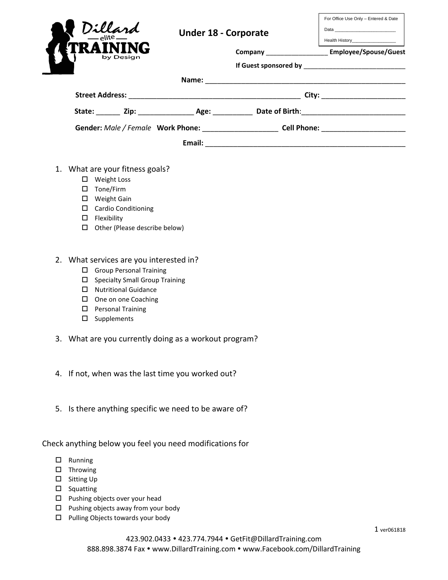| Dillard<br>by Design            | <b>Under 18 - Corporate</b> | For Office Use Only - Entered & Date<br><b>Health History</b><br>Company ____________________ Employee/Spouse/Guest |
|---------------------------------|-----------------------------|---------------------------------------------------------------------------------------------------------------------|
|                                 |                             |                                                                                                                     |
| State: Zip: Age: Date of Birth: |                             |                                                                                                                     |
|                                 |                             | Gender: Male / Female Work Phone: Cell Phone: Cell Phone:                                                           |
|                                 | Email:                      |                                                                                                                     |

- 1. What are your fitness goals?
	- Weight Loss
	- □ Tone/Firm
	- Weight Gain
	- Cardio Conditioning
	- $\square$  Flexibility
	- $\Box$  Other (Please describe below)
- 2. What services are you interested in?
	- □ Group Personal Training
	- $\square$  Specialty Small Group Training
	- Nutritional Guidance
	- $\square$  One on one Coaching
	- **D** Personal Training
	- $\square$  Supplements
- 3. What are you currently doing as a workout program?
- 4. If not, when was the last time you worked out?
- 5. Is there anything specific we need to be aware of?

Check anything below you feel you need modifications for

- $\Box$  Running
- $\square$  Throwing
- □ Sitting Up
- $\square$  Squatting
- $\square$  Pushing objects over your head
- $\square$  Pushing objects away from your body
- $\Box$  Pulling Objects towards your body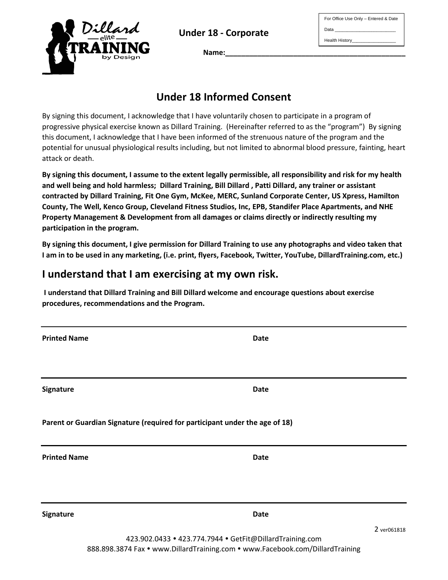**Under 18 - Corporate**



For Office Use Only – Entered & Date Data Health History\_\_\_\_\_\_\_\_\_\_\_\_\_\_\_\_\_\_

**Name:\_\_\_\_\_\_\_\_\_\_\_\_\_\_\_\_\_\_\_\_\_\_\_\_\_\_\_\_\_\_\_\_\_\_\_\_\_\_\_\_\_\_\_\_\_**

# **Under 18 Informed Consent**

By signing this document, I acknowledge that I have voluntarily chosen to participate in a program of progressive physical exercise known as Dillard Training. (Hereinafter referred to as the "program") By signing this document, I acknowledge that I have been informed of the strenuous nature of the program and the potential for unusual physiological results including, but not limited to abnormal blood pressure, fainting, heart attack or death.

**By signing this document, I assume to the extent legally permissible, all responsibility and risk for my health and well being and hold harmless; Dillard Training, Bill Dillard , Patti Dillard, any trainer or assistant contracted by Dillard Training, Fit One Gym, McKee, MERC, Sunland Corporate Center, US Xpress, Hamilton County, The Well, Kenco Group, Cleveland Fitness Studios, Inc, EPB, Standifer Place Apartments, and NHE Property Management & Development from all damages or claims directly or indirectly resulting my participation in the program.** 

**By signing this document, I give permission for Dillard Training to use any photographs and video taken that I am in to be used in any marketing, (i.e. print, flyers, Facebook, Twitter, YouTube, DillardTraining.com, etc.)**

# **I understand that I am exercising at my own risk.**

**I understand that Dillard Training and Bill Dillard welcome and encourage questions about exercise procedures, recommendations and the Program.**

**Printed Name Date** 

**Signature Date**

**Parent or Guardian Signature (required for participant under the age of 18)**

**Printed Name Date** 

**Signature Date**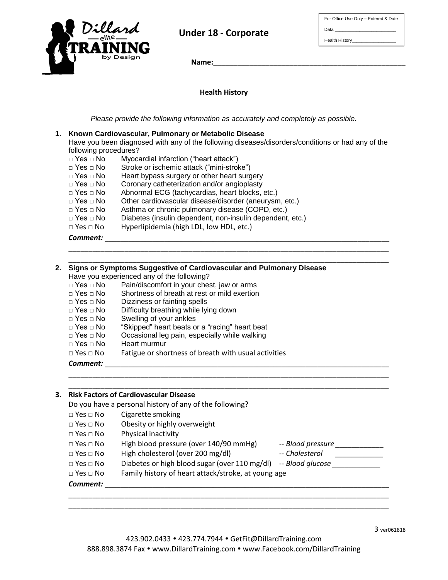

## **Under 18 - Corporate**

| For Office Use Only - Entered & Date |
|--------------------------------------|
| Data                                 |
| Health History_                      |

 **Name:**\_\_\_\_\_\_\_\_\_\_\_\_\_\_\_\_\_\_\_\_\_\_\_\_\_\_\_\_\_\_\_\_\_\_\_\_\_\_\_\_\_\_\_\_\_\_\_\_

**Health History**

*Please provide the following information as accurately and completely as possible.*

#### **1. Known Cardiovascular, Pulmonary or Metabolic Disease**

Have you been diagnosed with any of the following diseases/disorders/conditions or had any of the following procedures?

\_\_\_\_\_\_\_\_\_\_\_\_\_\_\_\_\_\_\_\_\_\_\_\_\_\_\_\_\_\_\_\_\_\_\_\_\_\_\_\_\_\_\_\_\_\_\_\_\_\_\_\_\_\_\_\_\_\_\_\_\_\_\_\_\_\_\_\_\_\_\_\_\_\_\_\_\_\_\_\_ \_\_\_\_\_\_\_\_\_\_\_\_\_\_\_\_\_\_\_\_\_\_\_\_\_\_\_\_\_\_\_\_\_\_\_\_\_\_\_\_\_\_\_\_\_\_\_\_\_\_\_\_\_\_\_\_\_\_\_\_\_\_\_\_\_\_\_\_\_\_\_\_\_\_\_\_\_\_\_\_

- □ Yes □ No Myocardial infarction ("heart attack")
- □ Yes □ No Stroke or ischemic attack ("mini-stroke")
- □ Yes □ No Heart bypass surgery or other heart surgery
- □ Yes □ No Coronary catheterization and/or angioplasty
- □ Yes □ No Abnormal ECG (tachycardias, heart blocks, etc.)
- □ Yes □ No Other cardiovascular disease/disorder (aneurysm, etc.)<br>□ Yes □ No Asthma or chronic pulmonary disease (COPD, etc.)
- Asthma or chronic pulmonary disease (COPD, etc.)
- □ Yes □ No Diabetes (insulin dependent, non-insulin dependent, etc.)
- □ Yes □ No Hyperlipidemia (high LDL, low HDL, etc.)

 ${\it Comment:}$ 

### **2. Signs or Symptoms Suggestive of Cardiovascular and Pulmonary Disease** Have you experienced any of the following? □ Yes □ No Pain/discomfort in your chest, jaw or arms<br>□ Yes □ No Shortness of breath at rest or mild exertion □ Yes □ No Shortness of breath at rest or mild exertion □ Yes □ No Dizziness or fainting spells Dizziness or fainting spells □ Yes □ No Difficulty breathing while lying down □ Yes □ No Swelling of your ankles □ Yes □ No "Skipped" heart beats or a "racing" heart beat

- Occasional leg pain, especially while walking
- □ Yes □ No Heart murmur
- □ Yes □ No Fatigue or shortness of breath with usual activities

*Comment:* \_\_\_\_\_\_\_\_\_\_\_\_\_\_\_\_\_\_\_\_\_\_\_\_\_\_\_\_\_\_\_\_\_\_\_\_\_\_\_\_\_\_\_\_\_\_\_\_\_\_\_\_\_\_\_\_\_\_\_\_\_\_\_\_\_\_\_\_\_\_\_

### **3. Risk Factors of Cardiovascular Disease**

Do you have a personal history of any of the following?

- □ Yes □ No Cigarette smoking
- □ Yes □ No Obesity or highly overweight
- □ Yes □ No Physical inactivity
- □ Yes □ No High blood pressure (over 140/90 mmHg) -- *Blood pressure \_\_\_\_\_\_\_\_\_\_\_\_\_* □ Yes □ No High cholesterol (over 200 mg/dl) -- *Cholesterol* \_\_\_\_\_\_\_\_\_\_\_\_\_\_ □ Yes □ No Diabetes or high blood sugar (over 110 mg/dl) -- *Blood glucose*

\_\_\_\_\_\_\_\_\_\_\_\_\_\_\_\_\_\_\_\_\_\_\_\_\_\_\_\_\_\_\_\_\_\_\_\_\_\_\_\_\_\_\_\_\_\_\_\_\_\_\_\_\_\_\_\_\_\_\_\_\_\_\_\_\_\_\_\_\_\_\_\_\_\_\_\_\_\_\_\_ \_\_\_\_\_\_\_\_\_\_\_\_\_\_\_\_\_\_\_\_\_\_\_\_\_\_\_\_\_\_\_\_\_\_\_\_\_\_\_\_\_\_\_\_\_\_\_\_\_\_\_\_\_\_\_\_\_\_\_\_\_\_\_\_\_\_\_\_\_\_\_\_\_\_\_\_\_\_\_\_

\_\_\_\_\_\_\_\_\_\_\_\_\_\_\_\_\_\_\_\_\_\_\_\_\_\_\_\_\_\_\_\_\_\_\_\_\_\_\_\_\_\_\_\_\_\_\_\_\_\_\_\_\_\_\_\_\_\_\_\_\_\_\_\_\_\_\_\_\_\_\_\_\_\_\_\_\_\_\_\_ \_\_\_\_\_\_\_\_\_\_\_\_\_\_\_\_\_\_\_\_\_\_\_\_\_\_\_\_\_\_\_\_\_\_\_\_\_\_\_\_\_\_\_\_\_\_\_\_\_\_\_\_\_\_\_\_\_\_\_\_\_\_\_\_\_\_\_\_\_\_\_\_\_\_\_\_\_\_\_\_

□ Yes □ No Family history of heart attack/stroke, at young age

 ${\it Comment:}$ 

3 ver061818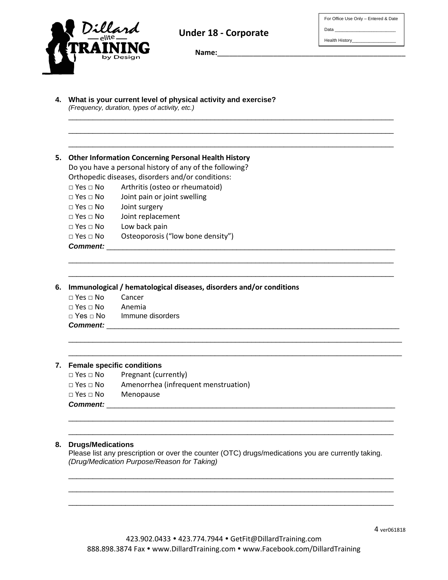

Data

Health History\_\_\_\_\_\_



**Under 18 - Corporate**

\_\_\_\_\_\_\_\_\_\_\_\_\_\_\_\_\_\_\_\_\_\_\_\_\_\_\_\_\_\_\_\_\_\_\_\_\_\_\_\_\_\_\_\_\_\_\_\_\_\_\_\_\_\_\_\_\_\_\_\_\_\_\_\_\_\_\_\_\_\_\_\_\_\_\_\_\_\_\_\_ \_\_\_\_\_\_\_\_\_\_\_\_\_\_\_\_\_\_\_\_\_\_\_\_\_\_\_\_\_\_\_\_\_\_\_\_\_\_\_\_\_\_\_\_\_\_\_\_\_\_\_\_\_\_\_\_\_\_\_\_\_\_\_\_\_\_\_\_\_\_\_\_\_\_\_\_\_\_\_\_ \_\_\_\_\_\_\_\_\_\_\_\_\_\_\_\_\_\_\_\_\_\_\_\_\_\_\_\_\_\_\_\_\_\_\_\_\_\_\_\_\_\_\_\_\_\_\_\_\_\_\_\_\_\_\_\_\_\_\_\_\_\_\_\_\_\_\_\_\_\_\_\_\_\_\_\_\_\_\_\_

\_\_\_\_\_\_\_\_\_\_\_\_\_\_\_\_\_\_\_\_\_\_\_\_\_\_\_\_\_\_\_\_\_\_\_\_\_\_\_\_\_\_\_\_\_\_\_\_\_\_\_\_\_\_\_\_\_\_\_\_\_\_\_\_\_\_\_\_\_\_\_\_\_\_\_\_\_\_\_\_ \_\_\_\_\_\_\_\_\_\_\_\_\_\_\_\_\_\_\_\_\_\_\_\_\_\_\_\_\_\_\_\_\_\_\_\_\_\_\_\_\_\_\_\_\_\_\_\_\_\_\_\_\_\_\_\_\_\_\_\_\_\_\_\_\_\_\_\_\_\_\_\_\_\_\_\_\_\_\_\_

\_\_\_\_\_\_\_\_\_\_\_\_\_\_\_\_\_\_\_\_\_\_\_\_\_\_\_\_\_\_\_\_\_\_\_\_\_\_\_\_\_\_\_\_\_\_\_\_\_\_\_\_\_\_\_\_\_\_\_\_\_\_\_\_\_\_\_\_\_\_\_\_\_\_\_\_\_\_\_\_\_\_ \_\_\_\_\_\_\_\_\_\_\_\_\_\_\_\_\_\_\_\_\_\_\_\_\_\_\_\_\_\_\_\_\_\_\_\_\_\_\_\_\_\_\_\_\_\_\_\_\_\_\_\_\_\_\_\_\_\_\_\_\_\_\_\_\_\_\_\_\_\_\_\_\_\_\_\_\_\_\_\_\_\_

Name:

|  | 5. Other Information Concerning Personal Health History |  |  |
|--|---------------------------------------------------------|--|--|
|  |                                                         |  |  |

Do you have a personal history of any of the following? Orthopedic diseases, disorders and/or conditions:

□ Yes □ No Arthritis (osteo or rheumatoid)

- □ Yes □ No Joint pain or joint swelling
- □ Yes □ No Joint surgery
- □ Yes □ No Joint replacement
- □ Yes □ No Low back pain
- □ Yes □ No Osteoporosis ("low bone density")

#### Comment:

**6. Immunological / hematological diseases, disorders and/or conditions**

| $\Box$ Yes $\Box$ No | Cancer           |
|----------------------|------------------|
| $\Box$ Yes $\Box$ No | Anemia           |
| ⊡ Yes ⊟ No           | Immune disorders |
| <b>Comment:</b>      |                  |

#### **7. Female specific conditions**

- □ Yes □ No Pregnant (currently)
- □ Yes □ No Amenorrhea (infrequent menstruation)
- □ Yes □ No Menopause
- *Comment:* \_\_\_\_\_\_\_\_\_\_\_\_\_\_\_\_\_\_\_\_\_\_\_\_\_\_\_\_\_\_\_\_\_\_\_\_\_\_\_\_\_\_\_\_\_\_\_\_\_\_\_\_\_\_\_\_\_\_\_\_\_\_\_\_\_\_\_\_\_\_\_

#### **8. Drugs/Medications**

Please list any prescription or over the counter (OTC) drugs/medications you are currently taking. *(Drug/Medication Purpose/Reason for Taking)*

\_\_\_\_\_\_\_\_\_\_\_\_\_\_\_\_\_\_\_\_\_\_\_\_\_\_\_\_\_\_\_\_\_\_\_\_\_\_\_\_\_\_\_\_\_\_\_\_\_\_\_\_\_\_\_\_\_\_\_\_\_\_\_\_\_\_\_\_\_\_\_\_\_\_\_\_\_\_\_\_ \_\_\_\_\_\_\_\_\_\_\_\_\_\_\_\_\_\_\_\_\_\_\_\_\_\_\_\_\_\_\_\_\_\_\_\_\_\_\_\_\_\_\_\_\_\_\_\_\_\_\_\_\_\_\_\_\_\_\_\_\_\_\_\_\_\_\_\_\_\_\_\_\_\_\_\_\_\_\_\_ \_\_\_\_\_\_\_\_\_\_\_\_\_\_\_\_\_\_\_\_\_\_\_\_\_\_\_\_\_\_\_\_\_\_\_\_\_\_\_\_\_\_\_\_\_\_\_\_\_\_\_\_\_\_\_\_\_\_\_\_\_\_\_\_\_\_\_\_\_\_\_\_\_\_\_\_\_\_\_\_

\_\_\_\_\_\_\_\_\_\_\_\_\_\_\_\_\_\_\_\_\_\_\_\_\_\_\_\_\_\_\_\_\_\_\_\_\_\_\_\_\_\_\_\_\_\_\_\_\_\_\_\_\_\_\_\_\_\_\_\_\_\_\_\_\_\_\_\_\_\_\_\_\_\_\_\_\_\_\_\_ \_\_\_\_\_\_\_\_\_\_\_\_\_\_\_\_\_\_\_\_\_\_\_\_\_\_\_\_\_\_\_\_\_\_\_\_\_\_\_\_\_\_\_\_\_\_\_\_\_\_\_\_\_\_\_\_\_\_\_\_\_\_\_\_\_\_\_\_\_\_\_\_\_\_\_\_\_\_\_\_

4 ver061818